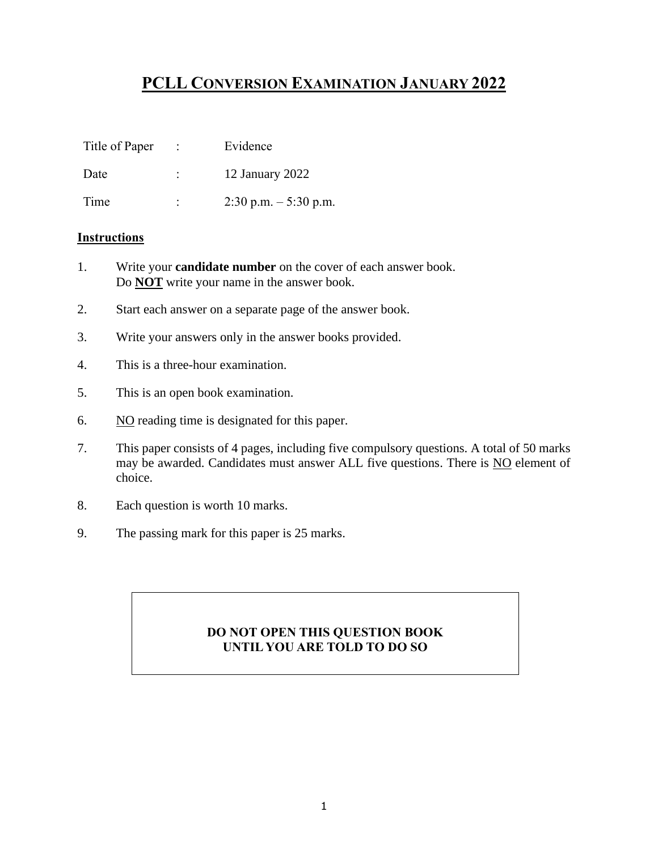# **PCLL CONVERSION EXAMINATION JANUARY 2022**

| Title of Paper |   | Evidence                 |
|----------------|---|--------------------------|
| Date           | ٠ | 12 January 2022          |
| Time           | ٠ | $2:30$ p.m. $-5:30$ p.m. |

#### **Instructions**

- 1. Write your **candidate number** on the cover of each answer book. Do **NOT** write your name in the answer book.
- 2. Start each answer on a separate page of the answer book.
- 3. Write your answers only in the answer books provided.
- 4. This is a three-hour examination.
- 5. This is an open book examination.
- 6. NO reading time is designated for this paper.
- 7. This paper consists of 4 pages, including five compulsory questions. A total of 50 marks may be awarded. Candidates must answer ALL five questions. There is NO element of choice.
- 8. Each question is worth 10 marks.
- 9. The passing mark for this paper is 25 marks.

### **DO NOT OPEN THIS QUESTION BOOK UNTIL YOU ARE TOLD TO DO SO**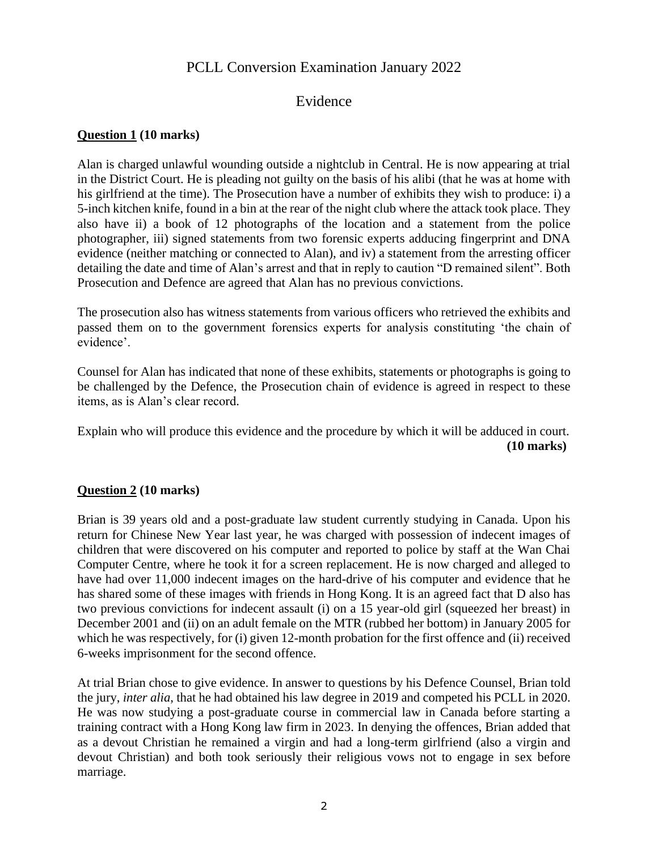# PCLL Conversion Examination January 2022

## Evidence

#### **Question 1 (10 marks)**

Alan is charged unlawful wounding outside a nightclub in Central. He is now appearing at trial in the District Court. He is pleading not guilty on the basis of his alibi (that he was at home with his girlfriend at the time). The Prosecution have a number of exhibits they wish to produce: i) a 5-inch kitchen knife, found in a bin at the rear of the night club where the attack took place. They also have ii) a book of 12 photographs of the location and a statement from the police photographer, iii) signed statements from two forensic experts adducing fingerprint and DNA evidence (neither matching or connected to Alan), and iv) a statement from the arresting officer detailing the date and time of Alan's arrest and that in reply to caution "D remained silent". Both Prosecution and Defence are agreed that Alan has no previous convictions.

The prosecution also has witness statements from various officers who retrieved the exhibits and passed them on to the government forensics experts for analysis constituting 'the chain of evidence'.

Counsel for Alan has indicated that none of these exhibits, statements or photographs is going to be challenged by the Defence, the Prosecution chain of evidence is agreed in respect to these items, as is Alan's clear record.

Explain who will produce this evidence and the procedure by which it will be adduced in court. **(10 marks)** 

#### **Question 2 (10 marks)**

Brian is 39 years old and a post-graduate law student currently studying in Canada. Upon his return for Chinese New Year last year, he was charged with possession of indecent images of children that were discovered on his computer and reported to police by staff at the Wan Chai Computer Centre, where he took it for a screen replacement. He is now charged and alleged to have had over 11,000 indecent images on the hard-drive of his computer and evidence that he has shared some of these images with friends in Hong Kong. It is an agreed fact that D also has two previous convictions for indecent assault (i) on a 15 year-old girl (squeezed her breast) in December 2001 and (ii) on an adult female on the MTR (rubbed her bottom) in January 2005 for which he was respectively, for (i) given 12-month probation for the first offence and (ii) received 6-weeks imprisonment for the second offence.

At trial Brian chose to give evidence. In answer to questions by his Defence Counsel, Brian told the jury, *inter alia*, that he had obtained his law degree in 2019 and competed his PCLL in 2020. He was now studying a post-graduate course in commercial law in Canada before starting a training contract with a Hong Kong law firm in 2023. In denying the offences, Brian added that as a devout Christian he remained a virgin and had a long-term girlfriend (also a virgin and devout Christian) and both took seriously their religious vows not to engage in sex before marriage.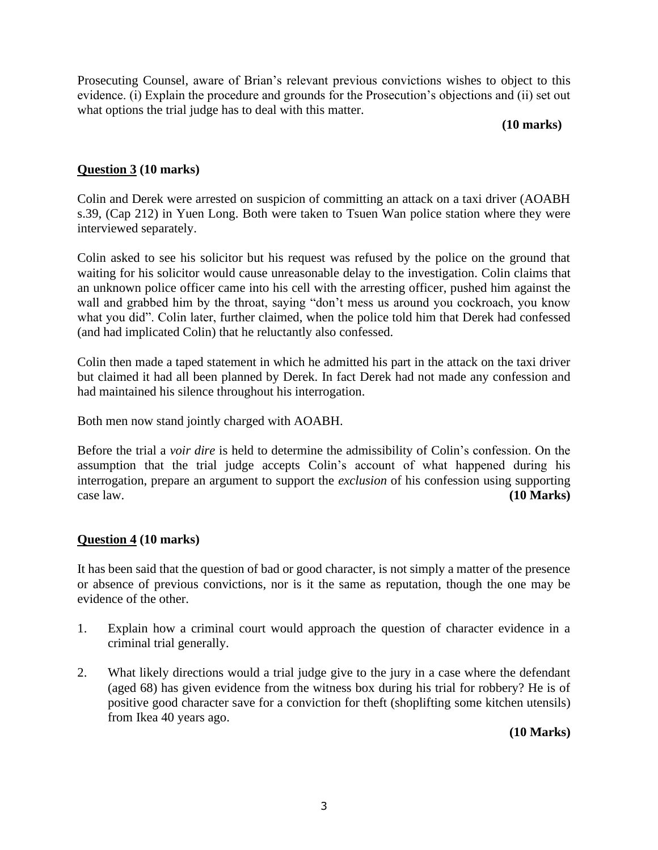Prosecuting Counsel, aware of Brian's relevant previous convictions wishes to object to this evidence. (i) Explain the procedure and grounds for the Prosecution's objections and (ii) set out what options the trial judge has to deal with this matter.

#### **(10 marks)**

#### **Question 3 (10 marks)**

Colin and Derek were arrested on suspicion of committing an attack on a taxi driver (AOABH s.39, (Cap 212) in Yuen Long. Both were taken to Tsuen Wan police station where they were interviewed separately.

Colin asked to see his solicitor but his request was refused by the police on the ground that waiting for his solicitor would cause unreasonable delay to the investigation. Colin claims that an unknown police officer came into his cell with the arresting officer, pushed him against the wall and grabbed him by the throat, saying "don't mess us around you cockroach, you know what you did". Colin later, further claimed, when the police told him that Derek had confessed (and had implicated Colin) that he reluctantly also confessed.

Colin then made a taped statement in which he admitted his part in the attack on the taxi driver but claimed it had all been planned by Derek. In fact Derek had not made any confession and had maintained his silence throughout his interrogation.

Both men now stand jointly charged with AOABH.

Before the trial a *voir dire* is held to determine the admissibility of Colin's confession. On the assumption that the trial judge accepts Colin's account of what happened during his interrogation, prepare an argument to support the *exclusion* of his confession using supporting case law. **(10 Marks)**

#### **Question 4 (10 marks)**

It has been said that the question of bad or good character, is not simply a matter of the presence or absence of previous convictions, nor is it the same as reputation, though the one may be evidence of the other.

- 1. Explain how a criminal court would approach the question of character evidence in a criminal trial generally.
- 2. What likely directions would a trial judge give to the jury in a case where the defendant (aged 68) has given evidence from the witness box during his trial for robbery? He is of positive good character save for a conviction for theft (shoplifting some kitchen utensils) from Ikea 40 years ago.

**(10 Marks)**